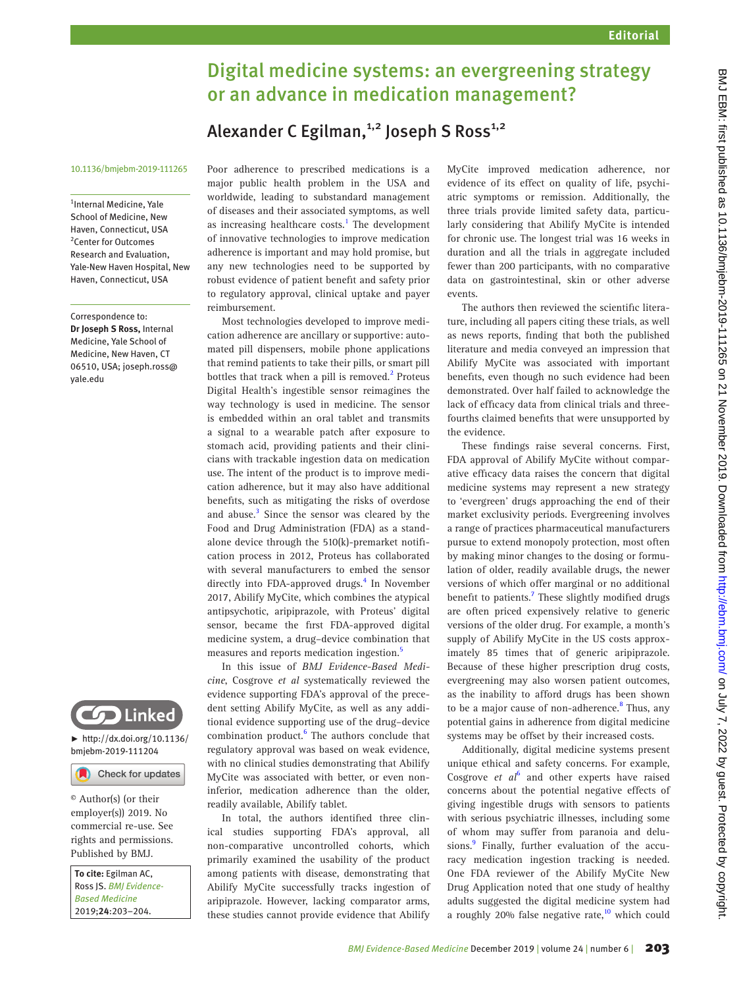## Digital medicine systems: an evergreening strategy or an advance in medication management?

## Alexander C Egilman,<sup>1,2</sup> Joseph S Ross<sup>1,2</sup>

## 10.1136/bmjebm-2019-111265

<sup>1</sup>Internal Medicine, Yale School of Medicine, New Haven, Connecticut, USA 2 Center for Outcomes Research and Evaluation, Yale-New Haven Hospital, New Haven, Connecticut, USA

Correspondence to: *Dr Joseph S Ross,* Internal Medicine, Yale School of Medicine, New Haven, CT 06510, USA; joseph.ross@ yale.edu



 $\blacktriangleright$  [http://dx.doi.org/10.1136/](http://dx.doi.org/10.1136/bmjebm-2019-111204) [bmjebm-2019-111204](http://dx.doi.org/10.1136/bmjebm-2019-111204)

Check for updates

© Author(s) (or their employer(s)) 2019. No commercial re-use. See rights and permissions. Published by BMJ.

*To cite:* Egilman AC, Ross JS. *BMJ Evidence-Based Medicine* 2019;*24*:203–204.

Poor adherence to prescribed medications is a major public health problem in the USA and worldwide, leading to substandard management of diseases and their associated symptoms, as well as increasing healthcare costs. $<sup>1</sup>$  $<sup>1</sup>$  $<sup>1</sup>$  The development</sup> of innovative technologies to improve medication adherence is important and may hold promise, but any new technologies need to be supported by robust evidence of patient benefit and safety prior to regulatory approval, clinical uptake and payer reimbursement.

Most technologies developed to improve medication adherence are ancillary or supportive: automated pill dispensers, mobile phone applications that remind patients to take their pills, or smart pill bottles that track when a pill is removed.<sup>[2](#page-1-1)</sup> Proteus Digital Health's ingestible sensor reimagines the way technology is used in medicine. The sensor is embedded within an oral tablet and transmits a signal to a wearable patch after exposure to stomach acid, providing patients and their clinicians with trackable ingestion data on medication use. The intent of the product is to improve medication adherence, but it may also have additional benefits, such as mitigating the risks of overdose and abuse.<sup>[3](#page-1-2)</sup> Since the sensor was cleared by the Food and Drug Administration (FDA) as a standalone device through the 510(k)-premarket notification process in 2012, Proteus has collaborated with several manufacturers to embed the sensor directly into FDA-approved drugs.<sup>[4](#page-1-3)</sup> In November 2017, Abilify MyCite, which combines the atypical antipsychotic, aripiprazole, with Proteus' digital sensor, became the first FDA-approved digital medicine system, a drug–device combination that measures and reports medication ingestion.<sup>5</sup>

In this issue of *BMJ Evidence-Based Medicine*, Cosgrove *et al* systematically reviewed the evidence supporting FDA's approval of the precedent setting Abilify MyCite, as well as any additional evidence supporting use of the drug–device combination product.<sup>[6](#page-1-5)</sup> The authors conclude that regulatory approval was based on weak evidence, with no clinical studies demonstrating that Abilify MyCite was associated with better, or even noninferior, medication adherence than the older, readily available, Abilify tablet.

In total, the authors identified three clinical studies supporting FDA's approval, all non-comparative uncontrolled cohorts, which primarily examined the usability of the product among patients with disease, demonstrating that Abilify MyCite successfully tracks ingestion of aripiprazole. However, lacking comparator arms, these studies cannot provide evidence that Abilify MyCite improved medication adherence, nor evidence of its effect on quality of life, psychiatric symptoms or remission. Additionally, the three trials provide limited safety data, particularly considering that Abilify MyCite is intended for chronic use. The longest trial was 16 weeks in duration and all the trials in aggregate included fewer than 200 participants, with no comparative data on gastrointestinal, skin or other adverse events.

The authors then reviewed the scientific literature, including all papers citing these trials, as well as news reports, finding that both the published literature and media conveyed an impression that Abilify MyCite was associated with important benefits, even though no such evidence had been demonstrated. Over half failed to acknowledge the lack of efficacy data from clinical trials and threefourths claimed benefits that were unsupported by the evidence.

These findings raise several concerns. First, FDA approval of Abilify MyCite without comparative efficacy data raises the concern that digital medicine systems may represent a new strategy to 'evergreen' drugs approaching the end of their market exclusivity periods. Evergreening involves a range of practices pharmaceutical manufacturers pursue to extend monopoly protection, most often by making minor changes to the dosing or formulation of older, readily available drugs, the newer versions of which offer marginal or no additional benefit to patients.<sup>[7](#page-1-6)</sup> These slightly modified drugs are often priced expensively relative to generic versions of the older drug. For example, a month's supply of Abilify MyCite in the US costs approximately 85 times that of generic aripiprazole. Because of these higher prescription drug costs, evergreening may also worsen patient outcomes, as the inability to afford drugs has been shown to be a major cause of non-adherence.<sup>8</sup> Thus, any potential gains in adherence from digital medicine systems may be offset by their increased costs.

Additionally, digital medicine systems present unique ethical and safety concerns. For example, Cosgrove et al<sup>[6](#page-1-5)</sup> and other experts have raised concerns about the potential negative effects of giving ingestible drugs with sensors to patients with serious psychiatric illnesses, including some of whom may suffer from paranoia and delu-sions.<sup>[9](#page-1-8)</sup> Finally, further evaluation of the accuracy medication ingestion tracking is needed. One FDA reviewer of the Abilify MyCite New Drug Application noted that one study of healthy adults suggested the digital medicine system had a roughly 20% false negative rate, $10$  which could